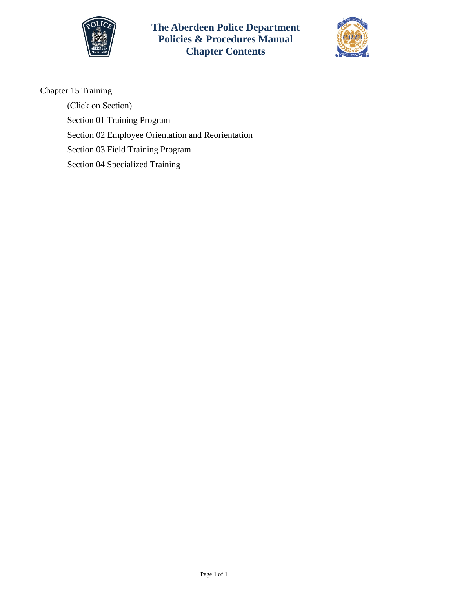

**The Aberdeen Police Department Policies & Procedures Manual Chapter Contents**



Chapter 15 Training

(Click on Section) Section [01 Training Program](#page-1-0)  Section 02 Employee [Orientation and Reorientation](#page-10-0)  [Section 03 Field Training Program](#page-12-0)  [Section 04 Specialized Training](#page-16-0)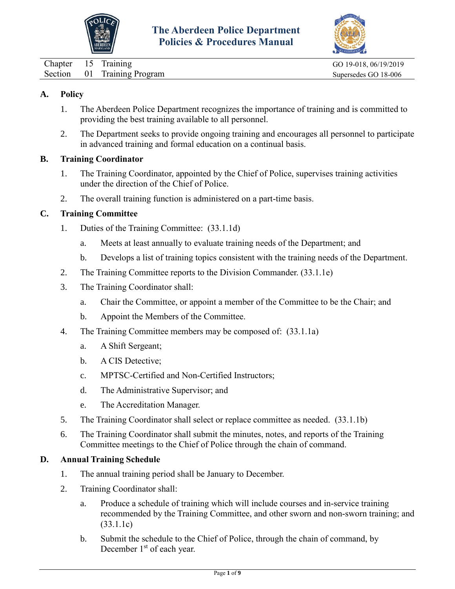



<span id="page-1-0"></span>

| Chapter 15 Training |                             | GO 19-018, 06/19/2019 |
|---------------------|-----------------------------|-----------------------|
|                     | Section 01 Training Program | Supersedes GO 18-006  |

## **A. Policy**

- 1. The Aberdeen Police Department recognizes the importance of training and is committed to providing the best training available to all personnel.
- 2. The Department seeks to provide ongoing training and encourages all personnel to participate in advanced training and formal education on a continual basis.

#### **B. Training Coordinator**

- 1. The Training Coordinator, appointed by the Chief of Police, supervises training activities under the direction of the Chief of Police.
- 2. The overall training function is administered on a part-time basis.

## **C. Training Committee**

- 1. Duties of the Training Committee: (33.1.1d)
	- a. Meets at least annually to evaluate training needs of the Department; and
	- b. Develops a list of training topics consistent with the training needs of the Department.
- 2. The Training Committee reports to the Division Commander. (33.1.1e)
- 3. The Training Coordinator shall:
	- a. Chair the Committee, or appoint a member of the Committee to be the Chair; and
	- b. Appoint the Members of the Committee.
- 4. The Training Committee members may be composed of: (33.1.1a)
	- a. A Shift Sergeant;
	- b. A CIS Detective;
	- c. MPTSC-Certified and Non-Certified Instructors;
	- d. The Administrative Supervisor; and
	- e. The Accreditation Manager.
- 5. The Training Coordinator shall select or replace committee as needed. (33.1.1b)
- 6. The Training Coordinator shall submit the minutes, notes, and reports of the Training Committee meetings to the Chief of Police through the chain of command.

## **D. Annual Training Schedule**

- 1. The annual training period shall be January to December.
- 2. Training Coordinator shall:
	- a. Produce a schedule of training which will include courses and in-service training recommended by the Training Committee, and other sworn and non-sworn training; and (33.1.1c)
	- b. Submit the schedule to the Chief of Police, through the chain of command, by December 1<sup>st</sup> of each year.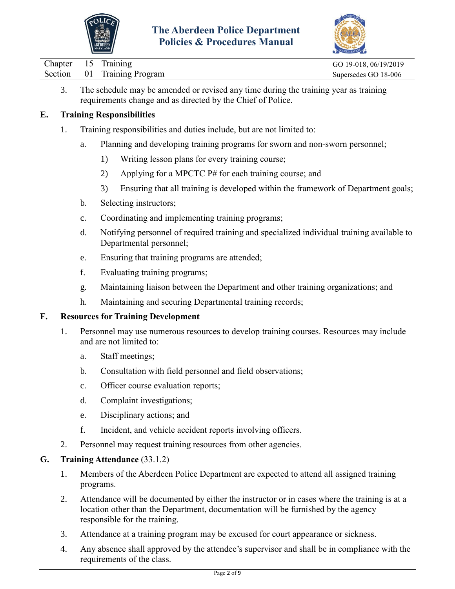



| Section 01 Training Program | Chapter 15 Training |  | GO 19-018, 06/19/2019 |
|-----------------------------|---------------------|--|-----------------------|
|                             |                     |  | Supersedes GO 18-006  |

3. The schedule may be amended or revised any time during the training year as training requirements change and as directed by the Chief of Police.

## **E. Training Responsibilities**

- 1. Training responsibilities and duties include, but are not limited to:
	- a. Planning and developing training programs for sworn and non-sworn personnel;
		- 1) Writing lesson plans for every training course;
		- 2) Applying for a MPCTC P# for each training course; and
		- 3) Ensuring that all training is developed within the framework of Department goals;
	- b. Selecting instructors;
	- c. Coordinating and implementing training programs;
	- d. Notifying personnel of required training and specialized individual training available to Departmental personnel;
	- e. Ensuring that training programs are attended;
	- f. Evaluating training programs;
	- g. Maintaining liaison between the Department and other training organizations; and
	- h. Maintaining and securing Departmental training records;

## **F. Resources for Training Development**

- 1. Personnel may use numerous resources to develop training courses. Resources may include and are not limited to:
	- a. Staff meetings;
	- b. Consultation with field personnel and field observations;
	- c. Officer course evaluation reports;
	- d. Complaint investigations;
	- e. Disciplinary actions; and
	- f. Incident, and vehicle accident reports involving officers.
- 2. Personnel may request training resources from other agencies.

## **G. Training Attendance** (33.1.2)

- 1. Members of the Aberdeen Police Department are expected to attend all assigned training programs.
- 2. Attendance will be documented by either the instructor or in cases where the training is at a location other than the Department, documentation will be furnished by the agency responsible for the training.
- 3. Attendance at a training program may be excused for court appearance or sickness.
- 4. Any absence shall approved by the attendee's supervisor and shall be in compliance with the requirements of the class.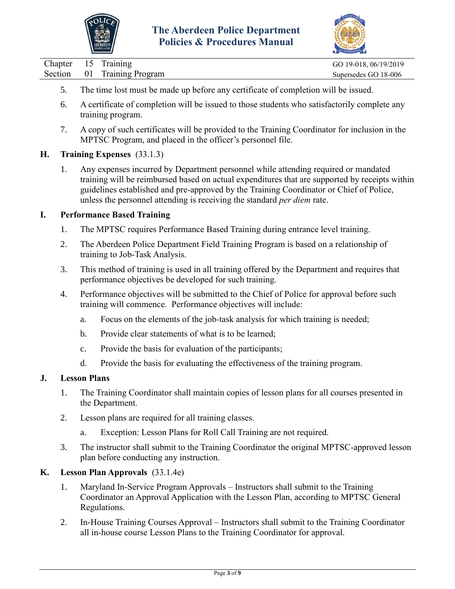

![](_page_3_Picture_2.jpeg)

| Chapter 15 Training |                             | GO 19-018, 06/19/2019 |
|---------------------|-----------------------------|-----------------------|
|                     | Section 01 Training Program | Supersedes GO 18-006  |

- 5. The time lost must be made up before any certificate of completion will be issued.
- 6. A certificate of completion will be issued to those students who satisfactorily complete any training program.
- 7. A copy of such certificates will be provided to the Training Coordinator for inclusion in the MPTSC Program, and placed in the officer's personnel file.

## **H. Training Expenses** (33.1.3)

1. Any expenses incurred by Department personnel while attending required or mandated training will be reimbursed based on actual expenditures that are supported by receipts within guidelines established and pre-approved by the Training Coordinator or Chief of Police, unless the personnel attending is receiving the standard *per diem* rate.

#### **I. Performance Based Training**

- 1. The MPTSC requires Performance Based Training during entrance level training.
- 2. The Aberdeen Police Department Field Training Program is based on a relationship of training to Job-Task Analysis.
- 3. This method of training is used in all training offered by the Department and requires that performance objectives be developed for such training.
- 4. Performance objectives will be submitted to the Chief of Police for approval before such training will commence. Performance objectives will include:
	- a. Focus on the elements of the job-task analysis for which training is needed;
	- b. Provide clear statements of what is to be learned;
	- c. Provide the basis for evaluation of the participants;
	- d. Provide the basis for evaluating the effectiveness of the training program.

#### **J. Lesson Plans**

- 1. The Training Coordinator shall maintain copies of lesson plans for all courses presented in the Department.
- 2. Lesson plans are required for all training classes.
	- a. Exception: Lesson Plans for Roll Call Training are not required.
- 3. The instructor shall submit to the Training Coordinator the original MPTSC-approved lesson plan before conducting any instruction.

## **K. Lesson Plan Approvals** (33.1.4e)

- 1. Maryland In-Service Program Approvals Instructors shall submit to the Training Coordinator an Approval Application with the Lesson Plan, according to MPTSC General Regulations.
- 2. In-House Training Courses Approval Instructors shall submit to the Training Coordinator all in-house course Lesson Plans to the Training Coordinator for approval.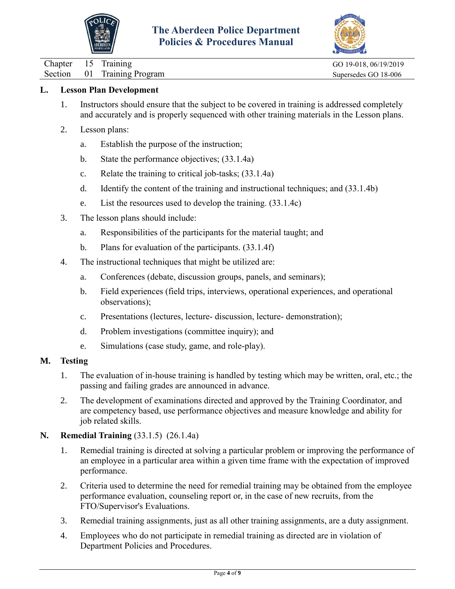![](_page_4_Picture_0.jpeg)

![](_page_4_Picture_2.jpeg)

Chapter 15 Training GO 19-018, 06/19/2019

Section 01 Training Program Supersedes GO 18-006

## **L. Lesson Plan Development**

- 1. Instructors should ensure that the subject to be covered in training is addressed completely and accurately and is properly sequenced with other training materials in the Lesson plans.
- 2. Lesson plans:
	- a. Establish the purpose of the instruction;
	- b. State the performance objectives; (33.1.4a)
	- c. Relate the training to critical job-tasks; (33.1.4a)
	- d. Identify the content of the training and instructional techniques; and (33.1.4b)
	- e. List the resources used to develop the training. (33.1.4c)
- 3. The lesson plans should include:
	- a. Responsibilities of the participants for the material taught; and
	- b. Plans for evaluation of the participants. (33.1.4f)
- 4. The instructional techniques that might be utilized are:
	- a. Conferences (debate, discussion groups, panels, and seminars);
	- b. Field experiences (field trips, interviews, operational experiences, and operational observations);
	- c. Presentations (lectures, lecture- discussion, lecture- demonstration);
	- d. Problem investigations (committee inquiry); and
	- e. Simulations (case study, game, and role-play).

#### **M. Testing**

- 1. The evaluation of in-house training is handled by testing which may be written, oral, etc.; the passing and failing grades are announced in advance.
- 2. The development of examinations directed and approved by the Training Coordinator, and are competency based, use performance objectives and measure knowledge and ability for job related skills.

## **N. Remedial Training** (33.1.5) (26.1.4a)

- 1. Remedial training is directed at solving a particular problem or improving the performance of an employee in a particular area within a given time frame with the expectation of improved performance.
- 2. Criteria used to determine the need for remedial training may be obtained from the employee performance evaluation, counseling report or, in the case of new recruits, from the FTO/Supervisor's Evaluations.
- 3. Remedial training assignments, just as all other training assignments, are a duty assignment.
- 4. Employees who do not participate in remedial training as directed are in violation of Department Policies and Procedures.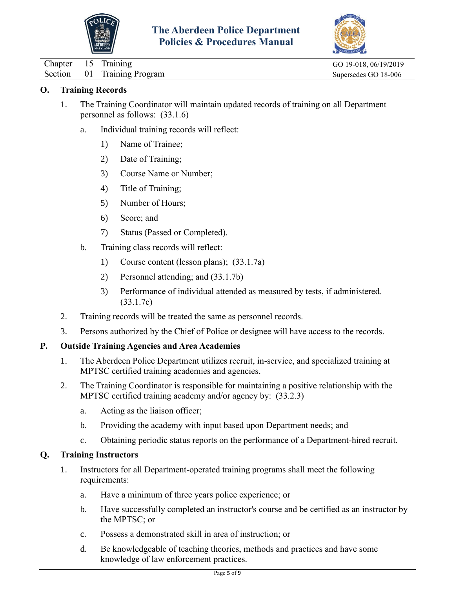![](_page_5_Picture_0.jpeg)

![](_page_5_Picture_2.jpeg)

Chapter 15 Training Go 19-018, 06/19/2019

Section 01 Training Program Supersedes GO 18-006

# **O. Training Records**

- 1. The Training Coordinator will maintain updated records of training on all Department personnel as follows: (33.1.6)
	- a. Individual training records will reflect:
		- 1) Name of Trainee;
		- 2) Date of Training;
		- 3) Course Name or Number;
		- 4) Title of Training;
		- 5) Number of Hours;
		- 6) Score; and
		- 7) Status (Passed or Completed).
	- b. Training class records will reflect:
		- 1) Course content (lesson plans); (33.1.7a)
		- 2) Personnel attending; and (33.1.7b)
		- 3) Performance of individual attended as measured by tests, if administered. (33.1.7c)
- 2. Training records will be treated the same as personnel records.
- 3. Persons authorized by the Chief of Police or designee will have access to the records.

## **P. Outside Training Agencies and Area Academies**

- 1. The Aberdeen Police Department utilizes recruit, in-service, and specialized training at MPTSC certified training academies and agencies.
- 2. The Training Coordinator is responsible for maintaining a positive relationship with the MPTSC certified training academy and/or agency by: (33.2.3)
	- a. Acting as the liaison officer;
	- b. Providing the academy with input based upon Department needs; and
	- c. Obtaining periodic status reports on the performance of a Department-hired recruit.

## **Q. Training Instructors**

- 1. Instructors for all Department-operated training programs shall meet the following requirements:
	- a. Have a minimum of three years police experience; or
	- b. Have successfully completed an instructor's course and be certified as an instructor by the MPTSC; or
	- c. Possess a demonstrated skill in area of instruction; or
	- d. Be knowledgeable of teaching theories, methods and practices and have some knowledge of law enforcement practices.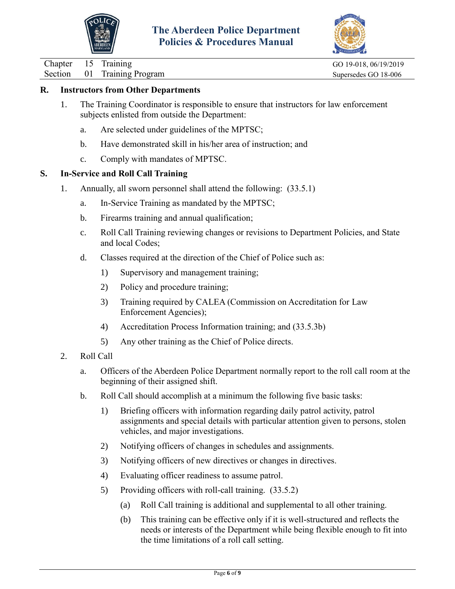![](_page_6_Picture_0.jpeg)

![](_page_6_Picture_2.jpeg)

Chapter 15 Training Go 19-018, 06/19/2019

Section 01 Training Program Supersedes GO 18-006

# **R. Instructors from Other Departments**

- 1. The Training Coordinator is responsible to ensure that instructors for law enforcement subjects enlisted from outside the Department:
	- a. Are selected under guidelines of the MPTSC;
	- b. Have demonstrated skill in his/her area of instruction; and
	- c. Comply with mandates of MPTSC.

## **S. In-Service and Roll Call Training**

- 1. Annually, all sworn personnel shall attend the following: (33.5.1)
	- a. In-Service Training as mandated by the MPTSC;
	- b. Firearms training and annual qualification;
	- c. Roll Call Training reviewing changes or revisions to Department Policies, and State and local Codes;
	- d. Classes required at the direction of the Chief of Police such as:
		- 1) Supervisory and management training;
		- 2) Policy and procedure training;
		- 3) Training required by CALEA (Commission on Accreditation for Law Enforcement Agencies);
		- 4) Accreditation Process Information training; and (33.5.3b)
		- 5) Any other training as the Chief of Police directs.
- 2. Roll Call
	- a. Officers of the Aberdeen Police Department normally report to the roll call room at the beginning of their assigned shift.
	- b. Roll Call should accomplish at a minimum the following five basic tasks:
		- 1) Briefing officers with information regarding daily patrol activity, patrol assignments and special details with particular attention given to persons, stolen vehicles, and major investigations.
		- 2) Notifying officers of changes in schedules and assignments.
		- 3) Notifying officers of new directives or changes in directives.
		- 4) Evaluating officer readiness to assume patrol.
		- 5) Providing officers with roll-call training. (33.5.2)
			- (a) Roll Call training is additional and supplemental to all other training.
			- (b) This training can be effective only if it is well-structured and reflects the needs or interests of the Department while being flexible enough to fit into the time limitations of a roll call setting.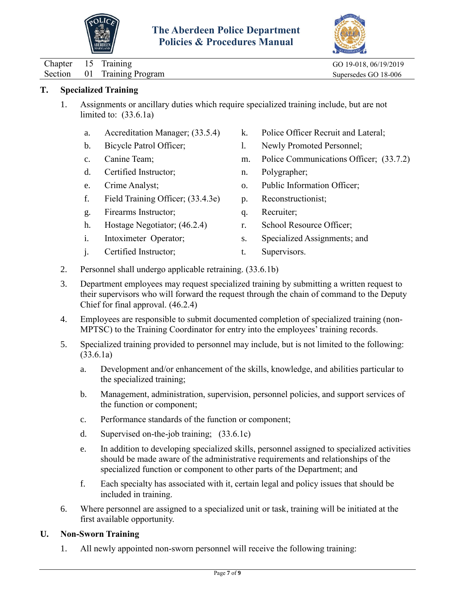![](_page_7_Picture_0.jpeg)

![](_page_7_Picture_2.jpeg)

Chapter 15 Training GO 19-018, 06/19/2019

Section 01 Training Program Supersedes GO 18-006

# **T. Specialized Training**

- 1. Assignments or ancillary duties which require specialized training include, but are not limited to: (33.6.1a)
	- a. Accreditation Manager; (33.5.4)
	- b. Bicycle Patrol Officer;
	- c. Canine Team;
	- d. Certified Instructor;
	- e. Crime Analyst;
	- f. Field Training Officer; (33.4.3e)
	- g. Firearms Instructor;
	- h. Hostage Negotiator; (46.2.4)
	- i. Intoximeter Operator;
	- j. Certified Instructor;
- k. Police Officer Recruit and Lateral;
- l. Newly Promoted Personnel;
- m. Police Communications Officer; (33.7.2)
- n. Polygrapher;
- o. Public Information Officer;
- p. Reconstructionist;
- q. Recruiter;
- r. School Resource Officer;
- s. Specialized Assignments; and
- t. Supervisors.
- 2. Personnel shall undergo applicable retraining. (33.6.1b)
- 3. Department employees may request specialized training by submitting a written request to their supervisors who will forward the request through the chain of command to the Deputy Chief for final approval. (46.2.4)
- 4. Employees are responsible to submit documented completion of specialized training (non-MPTSC) to the Training Coordinator for entry into the employees' training records.
- 5. Specialized training provided to personnel may include, but is not limited to the following: (33.6.1a)
	- a. Development and/or enhancement of the skills, knowledge, and abilities particular to the specialized training;
	- b. Management, administration, supervision, personnel policies, and support services of the function or component;
	- c. Performance standards of the function or component;
	- d. Supervised on-the-job training; (33.6.1c)
	- e. In addition to developing specialized skills, personnel assigned to specialized activities should be made aware of the administrative requirements and relationships of the specialized function or component to other parts of the Department; and
	- f. Each specialty has associated with it, certain legal and policy issues that should be included in training.
- 6. Where personnel are assigned to a specialized unit or task, training will be initiated at the first available opportunity.

## **U. Non-Sworn Training**

1. All newly appointed non-sworn personnel will receive the following training: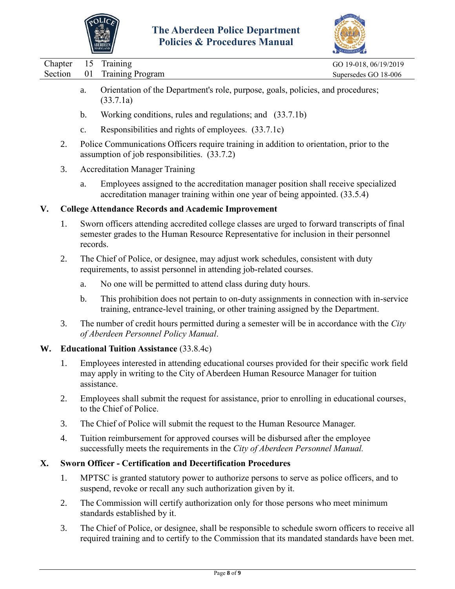![](_page_8_Picture_0.jpeg)

![](_page_8_Picture_2.jpeg)

|    |                    |          | <b>JARYLAND</b>                                                                                                                                                                                   | ACCREDITATION                                 |
|----|--------------------|----------|---------------------------------------------------------------------------------------------------------------------------------------------------------------------------------------------------|-----------------------------------------------|
|    | Chapter<br>Section | 15<br>01 | Training<br><b>Training Program</b>                                                                                                                                                               | GO 19-018, 06/19/2019<br>Supersedes GO 18-006 |
|    |                    | a.       | Orientation of the Department's role, purpose, goals, policies, and procedures;<br>(33.7.1a)                                                                                                      |                                               |
|    |                    | b.       | Working conditions, rules and regulations; and (33.7.1b)                                                                                                                                          |                                               |
|    |                    | c.       | Responsibilities and rights of employees. (33.7.1c)                                                                                                                                               |                                               |
|    | 2.                 |          | Police Communications Officers require training in addition to orientation, prior to the<br>assumption of job responsibilities. (33.7.2)                                                          |                                               |
|    | 3.                 |          | <b>Accreditation Manager Training</b>                                                                                                                                                             |                                               |
|    |                    | a.       | Employees assigned to the accreditation manager position shall receive specialized<br>accreditation manager training within one year of being appointed. (33.5.4)                                 |                                               |
| V. |                    |          | <b>College Attendance Records and Academic Improvement</b>                                                                                                                                        |                                               |
|    | 1.                 | records. | Sworn officers attending accredited college classes are urged to forward transcripts of final<br>semester grades to the Human Resource Representative for inclusion in their personnel            |                                               |
|    | 2.                 |          | The Chief of Police, or designee, may adjust work schedules, consistent with duty<br>requirements, to assist personnel in attending job-related courses.                                          |                                               |
|    |                    | a.       | No one will be permitted to attend class during duty hours.                                                                                                                                       |                                               |
|    |                    | b.       | This prohibition does not pertain to on-duty assignments in connection with in-service<br>training, entrance-level training, or other training assigned by the Department.                        |                                               |
|    | 3.                 |          | The number of credit hours permitted during a semester will be in accordance with the City<br>of Aberdeen Personnel Policy Manual.                                                                |                                               |
| W. |                    |          | <b>Educational Tuition Assistance (33.8.4c)</b>                                                                                                                                                   |                                               |
|    | 1.                 |          | Employees interested in attending educational courses provided for their specific work field<br>may apply in writing to the City of Aberdeen Human Resource Manager for tuition<br>assistance.    |                                               |
|    | 2.                 |          | Employees shall submit the request for assistance, prior to enrolling in educational courses,<br>to the Chief of Police.                                                                          |                                               |
|    | 3.                 |          | The Chief of Police will submit the request to the Human Resource Manager.                                                                                                                        |                                               |
|    | 4.                 |          | Tuition reimbursement for approved courses will be disbursed after the employee<br>successfully meets the requirements in the City of Aberdeen Personnel Manual.                                  |                                               |
| Х. |                    |          | <b>Sworn Officer - Certification and Decertification Procedures</b>                                                                                                                               |                                               |
|    | 1.                 |          | MPTSC is granted statutory power to authorize persons to serve as police officers, and to<br>suspend, revoke or recall any such authorization given by it.                                        |                                               |
|    | 2.                 |          | The Commission will certify authorization only for those persons who meet minimum<br>standards established by it.                                                                                 |                                               |
|    | 3.                 |          | The Chief of Police, or designee, shall be responsible to schedule sworn officers to receive all<br>required training and to certify to the Commission that its mandated standards have been met. |                                               |
|    |                    |          |                                                                                                                                                                                                   |                                               |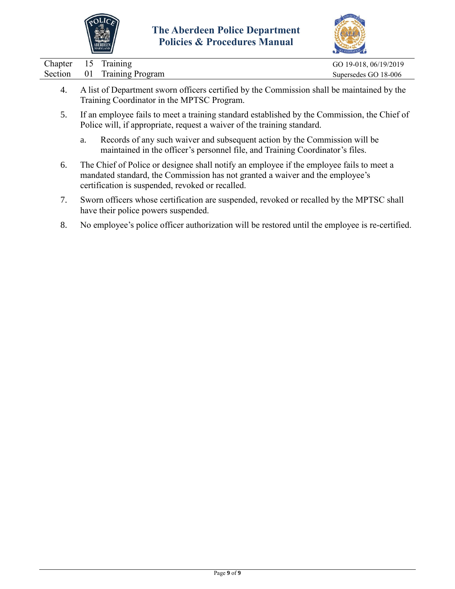![](_page_9_Picture_0.jpeg)

![](_page_9_Picture_2.jpeg)

|  | Chapter 15 Training         | GO 19-018, 06/19/2019 |
|--|-----------------------------|-----------------------|
|  | Section 01 Training Program | Supersedes GO 18-006  |
|  |                             |                       |

- 4. A list of Department sworn officers certified by the Commission shall be maintained by the Training Coordinator in the MPTSC Program.
- 5. If an employee fails to meet a training standard established by the Commission, the Chief of Police will, if appropriate, request a waiver of the training standard.
	- a. Records of any such waiver and subsequent action by the Commission will be maintained in the officer's personnel file, and Training Coordinator's files.
- 6. The Chief of Police or designee shall notify an employee if the employee fails to meet a mandated standard, the Commission has not granted a waiver and the employee's certification is suspended, revoked or recalled.
- 7. Sworn officers whose certification are suspended, revoked or recalled by the MPTSC shall have their police powers suspended.
- 8. No employee's police officer authorization will be restored until the employee is re-certified.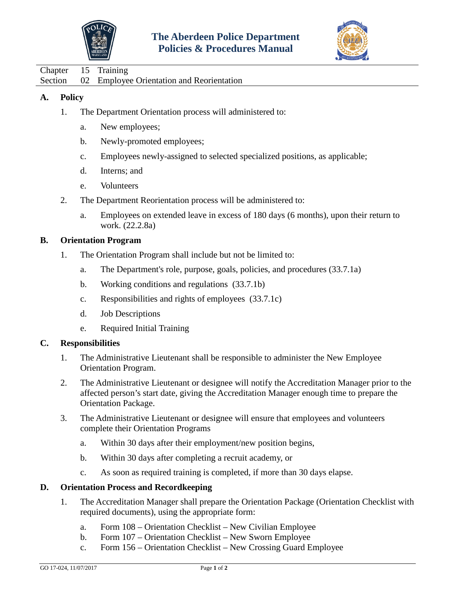![](_page_10_Picture_0.jpeg)

![](_page_10_Picture_2.jpeg)

<span id="page-10-0"></span>Chapter 15 Training Section 02 Employee Orientation and Reorientation

## **A. Policy**

- 1. The Department Orientation process will administered to:
	- a. New employees;
	- b. Newly-promoted employees;
	- c. Employees newly-assigned to selected specialized positions, as applicable;
	- d. Interns; and
	- e. Volunteers
- 2. The Department Reorientation process will be administered to:
	- a. Employees on extended leave in excess of 180 days (6 months), upon their return to work. (22.2.8a)

## **B. Orientation Program**

- 1. The Orientation Program shall include but not be limited to:
	- a. The Department's role, purpose, goals, policies, and procedures (33.7.1a)
	- b. Working conditions and regulations (33.7.1b)
	- c. Responsibilities and rights of employees (33.7.1c)
	- d. Job Descriptions
	- e. Required Initial Training

## **C. Responsibilities**

- 1. The Administrative Lieutenant shall be responsible to administer the New Employee Orientation Program.
- 2. The Administrative Lieutenant or designee will notify the Accreditation Manager prior to the affected person's start date, giving the Accreditation Manager enough time to prepare the Orientation Package.
- 3. The Administrative Lieutenant or designee will ensure that employees and volunteers complete their Orientation Programs
	- a. Within 30 days after their employment/new position begins,
	- b. Within 30 days after completing a recruit academy, or
	- c. As soon as required training is completed, if more than 30 days elapse.

## **D. Orientation Process and Recordkeeping**

- 1. The Accreditation Manager shall prepare the Orientation Package (Orientation Checklist with required documents), using the appropriate form:
	- a. Form 108 Orientation Checklist New Civilian Employee
	- b. Form 107 Orientation Checklist New Sworn Employee
	- c. Form 156 Orientation Checklist New Crossing Guard Employee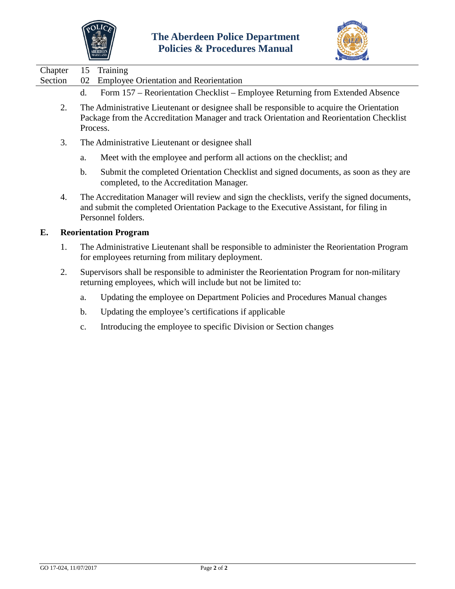![](_page_11_Picture_0.jpeg)

![](_page_11_Picture_2.jpeg)

|         |                                                                                                                                                                                                   | $\sum_{n}$ |
|---------|---------------------------------------------------------------------------------------------------------------------------------------------------------------------------------------------------|------------|
| Chapter | 15 Training                                                                                                                                                                                       |            |
| Section | 02 Employee Orientation and Reorientation                                                                                                                                                         |            |
|         | Form 157 – Reorientation Checklist – Employee Returning from Extended Absence<br>d.                                                                                                               |            |
|         | The Administrative Lieutenant or designee shall be responsible to acquire the Orientation<br>Package from the Accreditation Manager and track Orientation and Reorientation Checklist<br>Process. |            |
|         |                                                                                                                                                                                                   |            |

- 3. The Administrative Lieutenant or designee shall
	- a. Meet with the employee and perform all actions on the checklist; and
	- b. Submit the completed Orientation Checklist and signed documents, as soon as they are completed, to the Accreditation Manager.
- 4. The Accreditation Manager will review and sign the checklists, verify the signed documents, and submit the completed Orientation Package to the Executive Assistant, for filing in Personnel folders.

#### **E. Reorientation Program**

- 1. The Administrative Lieutenant shall be responsible to administer the Reorientation Program for employees returning from military deployment.
- 2. Supervisors shall be responsible to administer the Reorientation Program for non-military returning employees, which will include but not be limited to:
	- a. Updating the employee on Department Policies and Procedures Manual changes
	- b. Updating the employee's certifications if applicable
	- c. Introducing the employee to specific Division or Section changes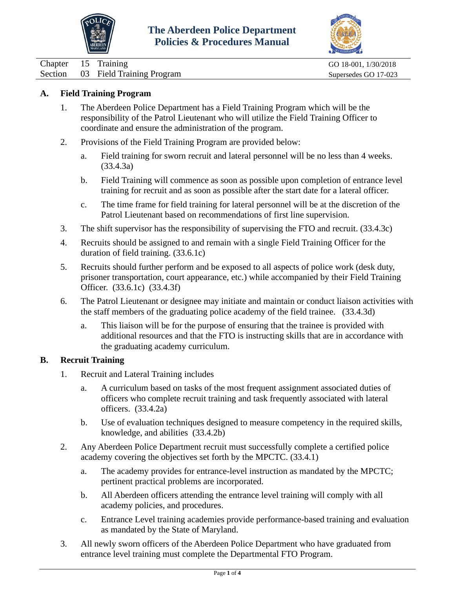![](_page_12_Picture_0.jpeg)

![](_page_12_Picture_2.jpeg)

<span id="page-12-0"></span>Chapter 15 Training GO 18-001, 1/30/2018 Section 03 Field Training Program Supersedes GO 17-023

## **A. Field Training Program**

- 1. The Aberdeen Police Department has a Field Training Program which will be the responsibility of the Patrol Lieutenant who will utilize the Field Training Officer to coordinate and ensure the administration of the program.
- 2. Provisions of the Field Training Program are provided below:
	- a. Field training for sworn recruit and lateral personnel will be no less than 4 weeks. (33.4.3a)
	- b. Field Training will commence as soon as possible upon completion of entrance level training for recruit and as soon as possible after the start date for a lateral officer.
	- c. The time frame for field training for lateral personnel will be at the discretion of the Patrol Lieutenant based on recommendations of first line supervision.
- 3. The shift supervisor has the responsibility of supervising the FTO and recruit. (33.4.3c)
- 4. Recruits should be assigned to and remain with a single Field Training Officer for the duration of field training. (33.6.1c)
- 5. Recruits should further perform and be exposed to all aspects of police work (desk duty, prisoner transportation, court appearance, etc.) while accompanied by their Field Training Officer. (33.6.1c) (33.4.3f)
- 6. The Patrol Lieutenant or designee may initiate and maintain or conduct liaison activities with the staff members of the graduating police academy of the field trainee. (33.4.3d)
	- a. This liaison will be for the purpose of ensuring that the trainee is provided with additional resources and that the FTO is instructing skills that are in accordance with the graduating academy curriculum.

## **B. Recruit Training**

- 1. Recruit and Lateral Training includes
	- a. A curriculum based on tasks of the most frequent assignment associated duties of officers who complete recruit training and task frequently associated with lateral officers. (33.4.2a)
	- b. Use of evaluation techniques designed to measure competency in the required skills, knowledge, and abilities (33.4.2b)
- 2. Any Aberdeen Police Department recruit must successfully complete a certified police academy covering the objectives set forth by the MPCTC. (33.4.1)
	- a. The academy provides for entrance-level instruction as mandated by the MPCTC; pertinent practical problems are incorporated.
	- b. All Aberdeen officers attending the entrance level training will comply with all academy policies, and procedures.
	- c. Entrance Level training academies provide performance-based training and evaluation as mandated by the State of Maryland.
- 3. All newly sworn officers of the Aberdeen Police Department who have graduated from entrance level training must complete the Departmental FTO Program.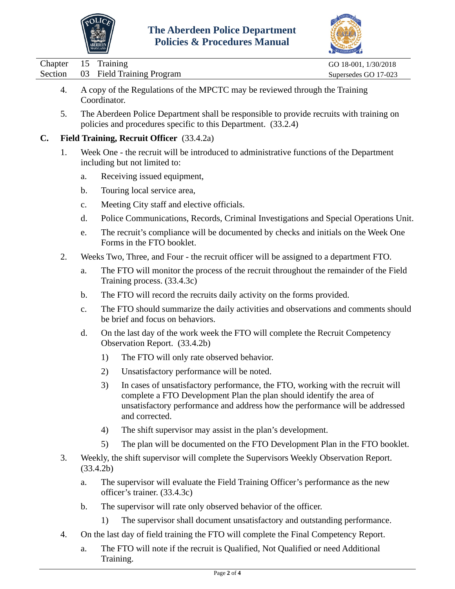![](_page_13_Picture_0.jpeg)

![](_page_13_Picture_2.jpeg)

|                                     |    |               | <b>MARYLAND</b>                                                                                                                                                                                                                                                |                      |
|-------------------------------------|----|---------------|----------------------------------------------------------------------------------------------------------------------------------------------------------------------------------------------------------------------------------------------------------------|----------------------|
| Chapter                             |    | 15            | Training                                                                                                                                                                                                                                                       | GO 18-001, 1/30/2018 |
| Section                             |    | 03            | <b>Field Training Program</b>                                                                                                                                                                                                                                  | Supersedes GO 17-023 |
|                                     | 4. |               | A copy of the Regulations of the MPCTC may be reviewed through the Training<br>Coordinator.                                                                                                                                                                    |                      |
|                                     | 5. |               | The Aberdeen Police Department shall be responsible to provide recruits with training on<br>policies and procedures specific to this Department. (33.2.4)                                                                                                      |                      |
| $\mathbf{C}$ .                      |    |               | Field Training, Recruit Officer (33.4.2a)                                                                                                                                                                                                                      |                      |
| 1.<br>including but not limited to: |    |               | Week One - the recruit will be introduced to administrative functions of the Department                                                                                                                                                                        |                      |
|                                     |    | a.            | Receiving issued equipment,                                                                                                                                                                                                                                    |                      |
|                                     |    | $\mathbf b$ . | Touring local service area,                                                                                                                                                                                                                                    |                      |
|                                     |    | c.            | Meeting City staff and elective officials.                                                                                                                                                                                                                     |                      |
|                                     |    | d.            | Police Communications, Records, Criminal Investigations and Special Operations Unit.                                                                                                                                                                           |                      |
|                                     |    | e.            | The recruit's compliance will be documented by checks and initials on the Week One<br>Forms in the FTO booklet.                                                                                                                                                |                      |
|                                     | 2. |               | Weeks Two, Three, and Four - the recruit officer will be assigned to a department FTO.                                                                                                                                                                         |                      |
|                                     |    | a.            | The FTO will monitor the process of the recruit throughout the remainder of the Field<br>Training process. (33.4.3c)                                                                                                                                           |                      |
|                                     |    | $\mathbf b$ . | The FTO will record the recruits daily activity on the forms provided.                                                                                                                                                                                         |                      |
|                                     |    | $C_{\bullet}$ | The FTO should summarize the daily activities and observations and comments should<br>be brief and focus on behaviors.                                                                                                                                         |                      |
|                                     |    | d.            | On the last day of the work week the FTO will complete the Recruit Competency<br>Observation Report. (33.4.2b)                                                                                                                                                 |                      |
|                                     |    |               | The FTO will only rate observed behavior.<br>1)                                                                                                                                                                                                                |                      |
|                                     |    |               | Unsatisfactory performance will be noted.<br>2)                                                                                                                                                                                                                |                      |
|                                     |    |               | 3)<br>In cases of unsatisfactory performance, the FTO, working with the recruit will<br>complete a FTO Development Plan the plan should identify the area of<br>unsatisfactory performance and address how the performance will be addressed<br>and corrected. |                      |
|                                     |    |               | The shift supervisor may assist in the plan's development.<br>4)                                                                                                                                                                                               |                      |
|                                     |    |               | The plan will be documented on the FTO Development Plan in the FTO booklet.<br>5)                                                                                                                                                                              |                      |
| 3.                                  |    |               | Weekly, the shift supervisor will complete the Supervisors Weekly Observation Report.<br>(33.4.2b)                                                                                                                                                             |                      |
|                                     |    | a.            | The supervisor will evaluate the Field Training Officer's performance as the new<br>officer's trainer. (33.4.3c)                                                                                                                                               |                      |
|                                     |    | $\mathbf b$ . | The supervisor will rate only observed behavior of the officer.                                                                                                                                                                                                |                      |
|                                     |    |               | The supervisor shall document unsatisfactory and outstanding performance.<br>1)                                                                                                                                                                                |                      |
|                                     | 4. |               | On the last day of field training the FTO will complete the Final Competency Report.                                                                                                                                                                           |                      |

a. The FTO will note if the recruit is Qualified, Not Qualified or need Additional Training.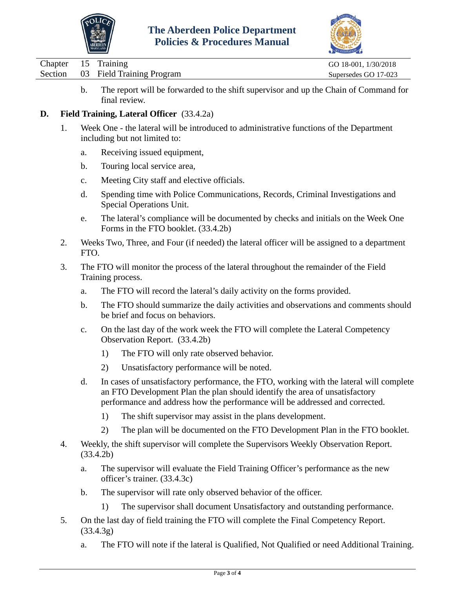![](_page_14_Picture_0.jpeg)

![](_page_14_Picture_2.jpeg)

| Chapter 15 Training |                                   | GO 18-001, 1/30/2018 |
|---------------------|-----------------------------------|----------------------|
|                     | Section 03 Field Training Program | Supersedes GO 17-023 |
|                     |                                   |                      |

b. The report will be forwarded to the shift supervisor and up the Chain of Command for final review.

# **D. Field Training, Lateral Officer** (33.4.2a)

- 1. Week One the lateral will be introduced to administrative functions of the Department including but not limited to:
	- a. Receiving issued equipment,
	- b. Touring local service area,
	- c. Meeting City staff and elective officials.
	- d. Spending time with Police Communications, Records, Criminal Investigations and Special Operations Unit.
	- e. The lateral's compliance will be documented by checks and initials on the Week One Forms in the FTO booklet. (33.4.2b)
- 2. Weeks Two, Three, and Four (if needed) the lateral officer will be assigned to a department FTO.
- 3. The FTO will monitor the process of the lateral throughout the remainder of the Field Training process.
	- a. The FTO will record the lateral's daily activity on the forms provided.
	- b. The FTO should summarize the daily activities and observations and comments should be brief and focus on behaviors.
	- c. On the last day of the work week the FTO will complete the Lateral Competency Observation Report. (33.4.2b)
		- 1) The FTO will only rate observed behavior.
		- 2) Unsatisfactory performance will be noted.
	- d. In cases of unsatisfactory performance, the FTO, working with the lateral will complete an FTO Development Plan the plan should identify the area of unsatisfactory performance and address how the performance will be addressed and corrected.
		- 1) The shift supervisor may assist in the plans development.
		- 2) The plan will be documented on the FTO Development Plan in the FTO booklet.
- 4. Weekly, the shift supervisor will complete the Supervisors Weekly Observation Report. (33.4.2b)
	- a. The supervisor will evaluate the Field Training Officer's performance as the new officer's trainer. (33.4.3c)
	- b. The supervisor will rate only observed behavior of the officer.
		- 1) The supervisor shall document Unsatisfactory and outstanding performance.
- 5. On the last day of field training the FTO will complete the Final Competency Report. (33.4.3g)
	- a. The FTO will note if the lateral is Qualified, Not Qualified or need Additional Training.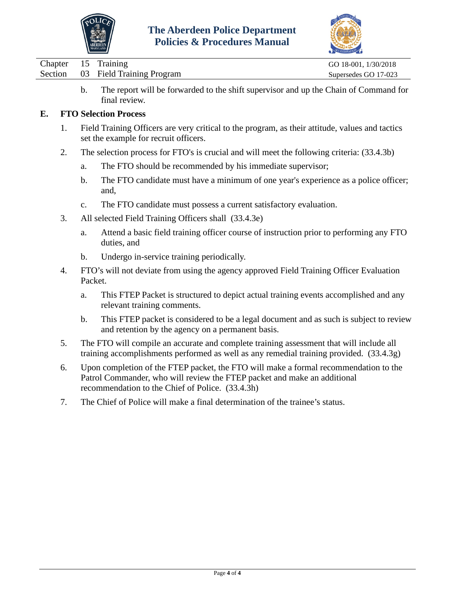![](_page_15_Picture_0.jpeg)

![](_page_15_Picture_2.jpeg)

| Chapter 15 Training |                                   | GO 18-001, 1/30/2018 |
|---------------------|-----------------------------------|----------------------|
|                     | Section 03 Field Training Program | Supersedes GO 17-023 |
|                     |                                   |                      |

b. The report will be forwarded to the shift supervisor and up the Chain of Command for final review.

## **E. FTO Selection Process**

- 1. Field Training Officers are very critical to the program, as their attitude, values and tactics set the example for recruit officers.
- 2. The selection process for FTO's is crucial and will meet the following criteria: (33.4.3b)
	- a. The FTO should be recommended by his immediate supervisor;
	- b. The FTO candidate must have a minimum of one year's experience as a police officer; and,
	- c. The FTO candidate must possess a current satisfactory evaluation.
- 3. All selected Field Training Officers shall (33.4.3e)
	- a. Attend a basic field training officer course of instruction prior to performing any FTO duties, and
	- b. Undergo in-service training periodically.
- 4. FTO's will not deviate from using the agency approved Field Training Officer Evaluation Packet.
	- a. This FTEP Packet is structured to depict actual training events accomplished and any relevant training comments.
	- b. This FTEP packet is considered to be a legal document and as such is subject to review and retention by the agency on a permanent basis.
- 5. The FTO will compile an accurate and complete training assessment that will include all training accomplishments performed as well as any remedial training provided. (33.4.3g)
- 6. Upon completion of the FTEP packet, the FTO will make a formal recommendation to the Patrol Commander, who will review the FTEP packet and make an additional recommendation to the Chief of Police. (33.4.3h)
- 7. The Chief of Police will make a final determination of the trainee's status.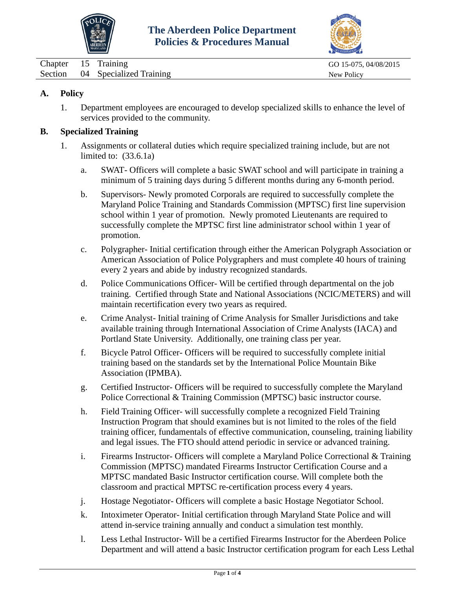![](_page_16_Picture_0.jpeg)

![](_page_16_Picture_2.jpeg)

<span id="page-16-0"></span>

| Chapter | 15 Training                     | GO 15-075, 04/08/2015 |
|---------|---------------------------------|-----------------------|
|         | Section 04 Specialized Training | New Policy            |

## **A. Policy**

1. Department employees are encouraged to develop specialized skills to enhance the level of services provided to the community.

## **B. Specialized Training**

- 1. Assignments or collateral duties which require specialized training include, but are not limited to: (33.6.1a)
	- a. SWAT- Officers will complete a basic SWAT school and will participate in training a minimum of 5 training days during 5 different months during any 6-month period.
	- b. Supervisors- Newly promoted Corporals are required to successfully complete the Maryland Police Training and Standards Commission (MPTSC) first line supervision school within 1 year of promotion. Newly promoted Lieutenants are required to successfully complete the MPTSC first line administrator school within 1 year of promotion.
	- c. Polygrapher- Initial certification through either the American Polygraph Association or American Association of Police Polygraphers and must complete 40 hours of training every 2 years and abide by industry recognized standards.
	- d. Police Communications Officer- Will be certified through departmental on the job training. Certified through State and National Associations (NCIC/METERS) and will maintain recertification every two years as required.
	- e. Crime Analyst- Initial training of Crime Analysis for Smaller Jurisdictions and take available training through International Association of Crime Analysts (IACA) and Portland State University. Additionally, one training class per year.
	- f. Bicycle Patrol Officer- Officers will be required to successfully complete initial training based on the standards set by the International Police Mountain Bike Association (IPMBA).
	- g. Certified Instructor- Officers will be required to successfully complete the Maryland Police Correctional & Training Commission (MPTSC) basic instructor course.
	- h. Field Training Officer- will successfully complete a recognized Field Training Instruction Program that should examines but is not limited to the roles of the field training officer, fundamentals of effective communication, counseling, training liability and legal issues. The FTO should attend periodic in service or advanced training.
	- i. Firearms Instructor- Officers will complete a Maryland Police Correctional & Training Commission (MPTSC) mandated Firearms Instructor Certification Course and a MPTSC mandated Basic Instructor certification course. Will complete both the classroom and practical MPTSC re-certification process every 4 years.
	- j. Hostage Negotiator- Officers will complete a basic Hostage Negotiator School.
	- k. Intoximeter Operator- Initial certification through Maryland State Police and will attend in-service training annually and conduct a simulation test monthly.
	- l. Less Lethal Instructor- Will be a certified Firearms Instructor for the Aberdeen Police Department and will attend a basic Instructor certification program for each Less Lethal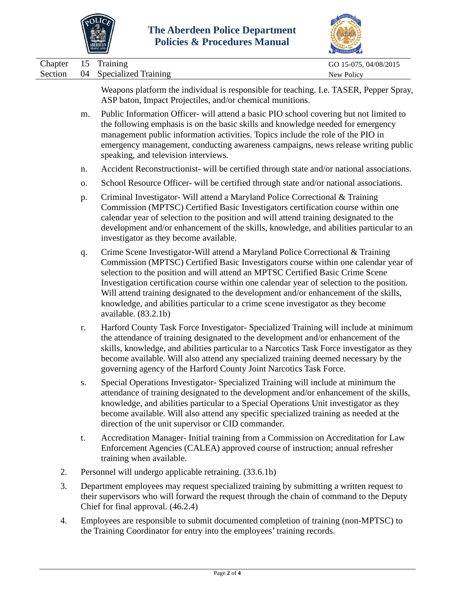![](_page_17_Picture_0.jpeg)

![](_page_17_Picture_2.jpeg)

|                    |          | Policies & Procedures Manual<br>ABERDEEN                                                                                                                                                                                                                                                                                                                                                                                                                                                                                                                   |                                     |
|--------------------|----------|------------------------------------------------------------------------------------------------------------------------------------------------------------------------------------------------------------------------------------------------------------------------------------------------------------------------------------------------------------------------------------------------------------------------------------------------------------------------------------------------------------------------------------------------------------|-------------------------------------|
| Chapter<br>Section | 15<br>04 | Training<br><b>Specialized Training</b>                                                                                                                                                                                                                                                                                                                                                                                                                                                                                                                    | GO 15-075, 04/08/2015<br>New Policy |
|                    |          | Weapons platform the individual is responsible for teaching. I.e. TASER, Pepper Spray,<br>ASP baton, Impact Projectiles, and/or chemical munitions.                                                                                                                                                                                                                                                                                                                                                                                                        |                                     |
|                    | m.       | Public Information Officer- will attend a basic PIO school covering but not limited to<br>the following emphasis is on the basic skills and knowledge needed for emergency<br>management public information activities. Topics include the role of the PIO in<br>emergency management, conducting awareness campaigns, news release writing public<br>speaking, and television interviews.                                                                                                                                                                 |                                     |
|                    | n.       | Accident Reconstructionist- will be certified through state and/or national associations.                                                                                                                                                                                                                                                                                                                                                                                                                                                                  |                                     |
|                    | 0.       | School Resource Officer- will be certified through state and/or national associations.                                                                                                                                                                                                                                                                                                                                                                                                                                                                     |                                     |
|                    | p.       | Criminal Investigator- Will attend a Maryland Police Correctional & Training<br>Commission (MPTSC) Certified Basic Investigators certification course within one<br>calendar year of selection to the position and will attend training designated to the<br>development and/or enhancement of the skills, knowledge, and abilities particular to an<br>investigator as they become available.                                                                                                                                                             |                                     |
|                    | q.       | Crime Scene Investigator-Will attend a Maryland Police Correctional & Training<br>Commission (MPTSC) Certified Basic Investigators course within one calendar year of<br>selection to the position and will attend an MPTSC Certified Basic Crime Scene<br>Investigation certification course within one calendar year of selection to the position.<br>Will attend training designated to the development and/or enhancement of the skills,<br>knowledge, and abilities particular to a crime scene investigator as they become<br>available. $(83.2.1b)$ |                                     |
|                    | r.       | Harford County Task Force Investigator- Specialized Training will include at minimum<br>the attendance of training designated to the development and/or enhancement of the<br>skills, knowledge, and abilities particular to a Narcotics Task Force investigator as they<br>become available. Will also attend any specialized training deemed necessary by the<br>governing agency of the Harford County Joint Narcotics Task Force.                                                                                                                      |                                     |
|                    | S.       | Special Operations Investigator-Specialized Training will include at minimum the<br>attendance of training designated to the development and/or enhancement of the skills,<br>knowledge, and abilities particular to a Special Operations Unit investigator as they<br>become available. Will also attend any specific specialized training as needed at the<br>direction of the unit supervisor or CID commander.                                                                                                                                         |                                     |
|                    | t.       | Accreditation Manager- Initial training from a Commission on Accreditation for Law<br>Enforcement Agencies (CALEA) approved course of instruction; annual refresher<br>training when available.                                                                                                                                                                                                                                                                                                                                                            |                                     |
| 2.                 |          | Personnel will undergo applicable retraining. (33.6.1b)                                                                                                                                                                                                                                                                                                                                                                                                                                                                                                    |                                     |
| 3.                 |          | Department employees may request specialized training by submitting a written request to<br>their supervisors who will forward the request through the chain of command to the Deputy<br>Chief for final approval. (46.2.4)                                                                                                                                                                                                                                                                                                                                |                                     |

4. Employees are responsible to submit documented completion of training (non-MPTSC) to the Training Coordinator for entry into the employees' training records.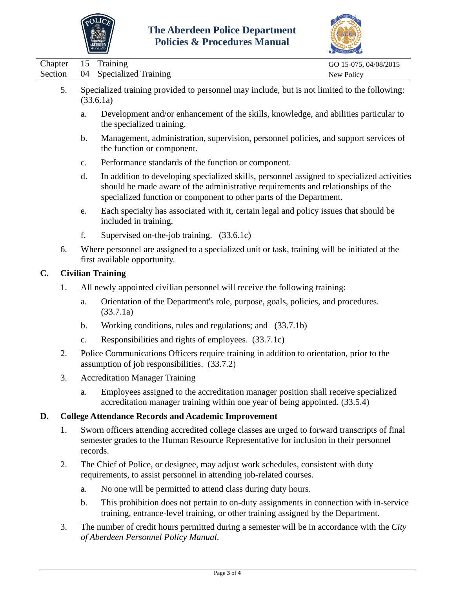![](_page_18_Picture_0.jpeg)

![](_page_18_Picture_2.jpeg)

|                                            |    |                | AARYLAND                                                                                                                                                                                                                                              | ACCREDITATION                       |
|--------------------------------------------|----|----------------|-------------------------------------------------------------------------------------------------------------------------------------------------------------------------------------------------------------------------------------------------------|-------------------------------------|
| Chapter<br>Section                         |    | 15<br>04       | Training<br><b>Specialized Training</b>                                                                                                                                                                                                               | GO 15-075, 04/08/2015<br>New Policy |
|                                            | 5. |                | Specialized training provided to personnel may include, but is not limited to the following:<br>(33.6.1a)                                                                                                                                             |                                     |
|                                            |    | a.             | Development and/or enhancement of the skills, knowledge, and abilities particular to<br>the specialized training.                                                                                                                                     |                                     |
|                                            |    | $\mathbf{b}$ . | Management, administration, supervision, personnel policies, and support services of<br>the function or component.                                                                                                                                    |                                     |
|                                            |    | c.             | Performance standards of the function or component.                                                                                                                                                                                                   |                                     |
|                                            |    | d.             | In addition to developing specialized skills, personnel assigned to specialized activities<br>should be made aware of the administrative requirements and relationships of the<br>specialized function or component to other parts of the Department. |                                     |
|                                            |    | e.             | Each specialty has associated with it, certain legal and policy issues that should be<br>included in training.                                                                                                                                        |                                     |
|                                            |    | f.             | Supervised on-the-job training. (33.6.1c)                                                                                                                                                                                                             |                                     |
|                                            | 6. |                | Where personnel are assigned to a specialized unit or task, training will be initiated at the<br>first available opportunity.                                                                                                                         |                                     |
| <b>Civilian Training</b><br>$\mathbf{C}$ . |    |                |                                                                                                                                                                                                                                                       |                                     |
|                                            | 1. |                | All newly appointed civilian personnel will receive the following training:                                                                                                                                                                           |                                     |
|                                            |    | a.             | Orientation of the Department's role, purpose, goals, policies, and procedures.<br>(33.7.1a)                                                                                                                                                          |                                     |
|                                            |    | b.             | Working conditions, rules and regulations; and (33.7.1b)                                                                                                                                                                                              |                                     |
|                                            |    | $C_{\bullet}$  | Responsibilities and rights of employees. (33.7.1c)                                                                                                                                                                                                   |                                     |
|                                            | 2. |                | Police Communications Officers require training in addition to orientation, prior to the<br>assumption of job responsibilities. (33.7.2)                                                                                                              |                                     |
|                                            | 3. |                | <b>Accreditation Manager Training</b>                                                                                                                                                                                                                 |                                     |
|                                            |    | a.             | Employees assigned to the accreditation manager position shall receive specialized<br>accreditation manager training within one year of being appointed. (33.5.4)                                                                                     |                                     |
| D.                                         |    |                | <b>College Attendance Records and Academic Improvement</b>                                                                                                                                                                                            |                                     |
|                                            | 1. | records.       | Sworn officers attending accredited college classes are urged to forward transcripts of final<br>semester grades to the Human Resource Representative for inclusion in their personnel                                                                |                                     |
|                                            | 2. |                | The Chief of Police, or designee, may adjust work schedules, consistent with duty<br>requirements, to assist personnel in attending job-related courses.                                                                                              |                                     |
|                                            |    | a.             | No one will be permitted to attend class during duty hours.                                                                                                                                                                                           |                                     |
|                                            |    | $\mathbf b$ .  | This prohibition does not pertain to on-duty assignments in connection with in-service<br>training, entrance-level training, or other training assigned by the Department.                                                                            |                                     |

3. The number of credit hours permitted during a semester will be in accordance with the *City of Aberdeen Personnel Policy Manual*.